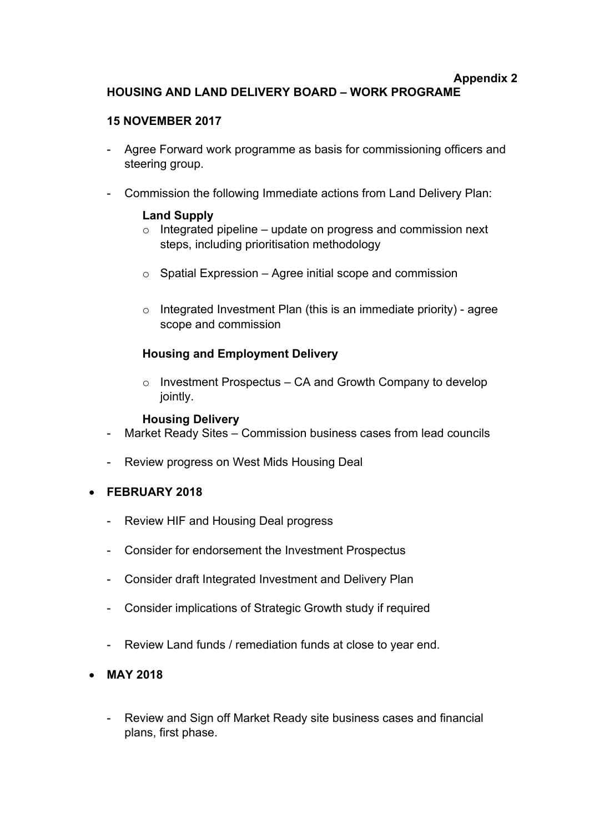### **Appendix 2 HOUSING AND LAND DELIVERY BOARD – WORK PROGRAME**

## **15 NOVEMBER 2017**

- Agree Forward work programme as basis for commissioning officers and steering group.
- Commission the following Immediate actions from Land Delivery Plan:

# **Land Supply**

- $\circ$  Integrated pipeline update on progress and commission next steps, including prioritisation methodology
- $\circ$  Spatial Expression Agree initial scope and commission
- $\circ$  Integrated Investment Plan (this is an immediate priority) agree scope and commission

# **Housing and Employment Delivery**

 $\circ$  Investment Prospectus – CA and Growth Company to develop jointly.

### **Housing Delivery**

- Market Ready Sites Commission business cases from lead councils
- Review progress on West Mids Housing Deal
- **FEBRUARY 2018**
	- Review HIF and Housing Deal progress
	- Consider for endorsement the Investment Prospectus
	- Consider draft Integrated Investment and Delivery Plan
	- Consider implications of Strategic Growth study if required
	- Review Land funds / remediation funds at close to year end.
- **MAY 2018**
	- Review and Sign off Market Ready site business cases and financial plans, first phase.